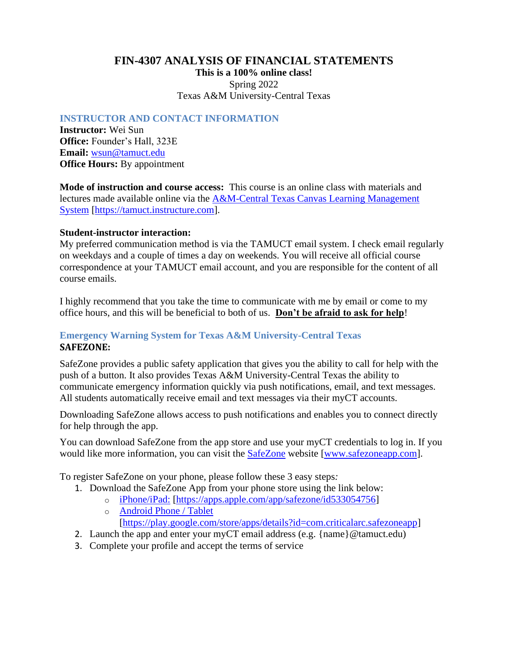# **FIN-4307 ANALYSIS OF FINANCIAL STATEMENTS This is a 100% online class!** Spring 2022 Texas A&M University-Central Texas

### **INSTRUCTOR AND CONTACT INFORMATION**

**Instructor:** Wei Sun **Office:** Founder's Hall, 323E **Email:** [wsun@tamuct.edu](mailto:wsun@tamuct.edu) **Office Hours:** By appointment

**Mode of instruction and course access:** This course is an online class with materials and lectures made available online via the [A&M-Central Texas Canvas Learning Management](https://tamuct.instructure.com/)  [System](https://tamuct.instructure.com/) [\[https://tamuct.instructure.com\]](https://tamuct.instructure.com/).

### **Student-instructor interaction:**

My preferred communication method is via the TAMUCT email system. I check email regularly on weekdays and a couple of times a day on weekends. You will receive all official course correspondence at your TAMUCT email account, and you are responsible for the content of all course emails.

I highly recommend that you take the time to communicate with me by email or come to my office hours, and this will be beneficial to both of us. **Don't be afraid to ask for help**!

### **Emergency Warning System for Texas A&M University-Central Texas SAFEZONE:**

SafeZone provides a public safety application that gives you the ability to call for help with the push of a button. It also provides Texas A&M University-Central Texas the ability to communicate emergency information quickly via push notifications, email, and text messages. All students automatically receive email and text messages via their myCT accounts.

Downloading SafeZone allows access to push notifications and enables you to connect directly for help through the app.

You can download SafeZone from the app store and use your myCT credentials to log in. If you would like more information, you can visit the [SafeZone](http://www.safezoneapp.com/) website [\[www.safezoneapp.com\]](www.safezoneapp.com).

To register SafeZone on your phone, please follow these 3 easy steps*:*

- 1. Download the SafeZone App from your phone store using the link below:
	- o [iPhone/iPad:](https://apps.apple.com/app/safezone/id533054756) [\[https://apps.apple.com/app/safezone/id533054756\]](https://apps.apple.com/app/safezone/id533054756)
	- o [Android Phone / Tablet](https://play.google.com/store/apps/details?id=com.criticalarc.safezoneapp) [\[https://play.google.com/store/apps/details?id=com.criticalarc.safezoneapp\]](https://play.google.com/store/apps/details?id=com.criticalarc.safezoneapp)
- 2. Launch the app and enter your myCT email address (e.g. {name}@tamuct.edu)
- 3. Complete your profile and accept the terms of service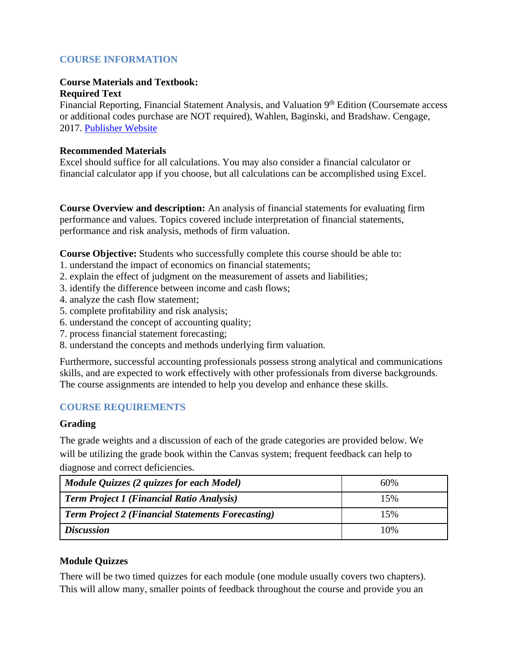# **COURSE INFORMATION**

#### **Course Materials and Textbook: Required Text**

Financial Reporting, Financial Statement Analysis, and Valuation 9<sup>th</sup> Edition (Coursemate access or additional codes purchase are NOT required), Wahlen, Baginski, and Bradshaw. Cengage, 2017. [Publisher Website](https://www.cengage.com/c/financial-reporting-financial-statement-analysis-and-valuation-9e-wahlen/9781337614689/)

#### **Recommended Materials**

Excel should suffice for all calculations. You may also consider a financial calculator or financial calculator app if you choose, but all calculations can be accomplished using Excel.

**Course Overview and description:** An analysis of financial statements for evaluating firm performance and values. Topics covered include interpretation of financial statements, performance and risk analysis, methods of firm valuation.

**Course Objective:** Students who successfully complete this course should be able to:

- 1. understand the impact of economics on financial statements;
- 2. explain the effect of judgment on the measurement of assets and liabilities;
- 3. identify the difference between income and cash flows;
- 4. analyze the cash flow statement;
- 5. complete profitability and risk analysis;
- 6. understand the concept of accounting quality;
- 7. process financial statement forecasting;
- 8. understand the concepts and methods underlying firm valuation.

Furthermore, successful accounting professionals possess strong analytical and communications skills, and are expected to work effectively with other professionals from diverse backgrounds. The course assignments are intended to help you develop and enhance these skills.

## **COURSE REQUIREMENTS**

## **Grading**

The grade weights and a discussion of each of the grade categories are provided below. We will be utilizing the grade book within the Canvas system; frequent feedback can help to diagnose and correct deficiencies.

| Module Quizzes (2 quizzes for each Model)                | 60% |
|----------------------------------------------------------|-----|
| <b>Term Project 1 (Financial Ratio Analysis)</b>         | 15% |
| <b>Term Project 2 (Financial Statements Forecasting)</b> | 15% |
| <b>Discussion</b>                                        | 10% |

## **Module Quizzes**

There will be two timed quizzes for each module (one module usually covers two chapters). This will allow many, smaller points of feedback throughout the course and provide you an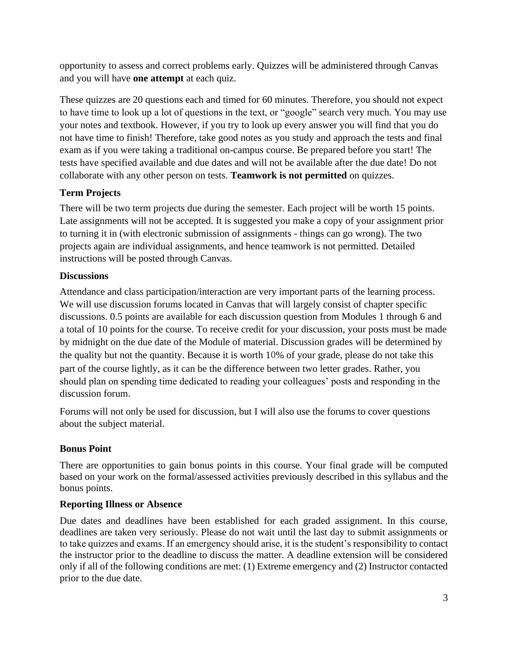opportunity to assess and correct problems early. Quizzes will be administered through Canvas and you will have **one attempt** at each quiz.

These quizzes are 20 questions each and timed for 60 minutes. Therefore, you should not expect to have time to look up a lot of questions in the text, or "google" search very much. You may use your notes and textbook. However, if you try to look up every answer you will find that you do not have time to finish! Therefore, take good notes as you study and approach the tests and final exam as if you were taking a traditional on-campus course. Be prepared before you start! The tests have specified available and due dates and will not be available after the due date! Do not collaborate with any other person on tests. **Teamwork is not permitted** on quizzes.

# **Term Projects**

There will be two term projects due during the semester. Each project will be worth 15 points. Late assignments will not be accepted. It is suggested you make a copy of your assignment prior to turning it in (with electronic submission of assignments - things can go wrong). The two projects again are individual assignments, and hence teamwork is not permitted. Detailed instructions will be posted through Canvas.

# **Discussions**

Attendance and class participation/interaction are very important parts of the learning process. We will use discussion forums located in Canvas that will largely consist of chapter specific discussions. 0.5 points are available for each discussion question from Modules 1 through 6 and a total of 10 points for the course. To receive credit for your discussion, your posts must be made by midnight on the due date of the Module of material. Discussion grades will be determined by the quality but not the quantity. Because it is worth 10% of your grade, please do not take this part of the course lightly, as it can be the difference between two letter grades. Rather, you should plan on spending time dedicated to reading your colleagues' posts and responding in the discussion forum.

Forums will not only be used for discussion, but I will also use the forums to cover questions about the subject material.

# **Bonus Point**

There are opportunities to gain bonus points in this course. Your final grade will be computed based on your work on the formal/assessed activities previously described in this syllabus and the bonus points.

# **Reporting Illness or Absence**

Due dates and deadlines have been established for each graded assignment. In this course, deadlines are taken very seriously. Please do not wait until the last day to submit assignments or to take quizzes and exams. If an emergency should arise, it is the student's responsibility to contact the instructor prior to the deadline to discuss the matter. A deadline extension will be considered only if all of the following conditions are met: (1) Extreme emergency and (2) Instructor contacted prior to the due date.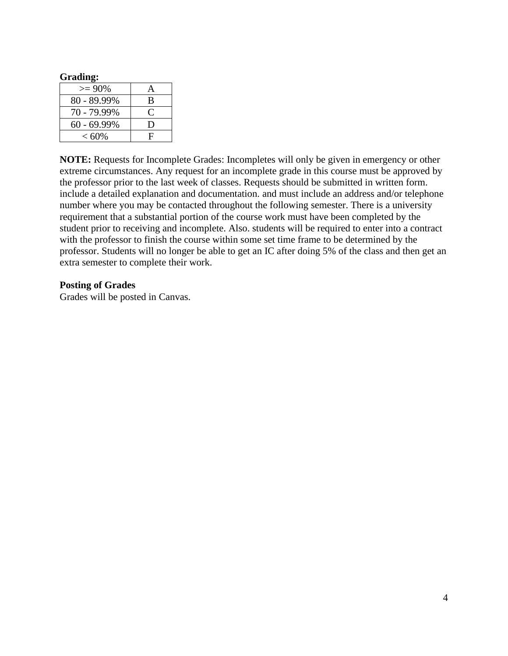# **Grading:**  $> = 90\%$  A 80 - 89.99% B 70 - 79.99% C 60 - 69.99% D  $< 60\%$  F

**NOTE:** Requests for Incomplete Grades: Incompletes will only be given in emergency or other extreme circumstances. Any request for an incomplete grade in this course must be approved by the professor prior to the last week of classes. Requests should be submitted in written form. include a detailed explanation and documentation. and must include an address and/or telephone number where you may be contacted throughout the following semester. There is a university requirement that a substantial portion of the course work must have been completed by the student prior to receiving and incomplete. Also. students will be required to enter into a contract with the professor to finish the course within some set time frame to be determined by the professor. Students will no longer be able to get an IC after doing 5% of the class and then get an extra semester to complete their work.

### **Posting of Grades**

Grades will be posted in Canvas.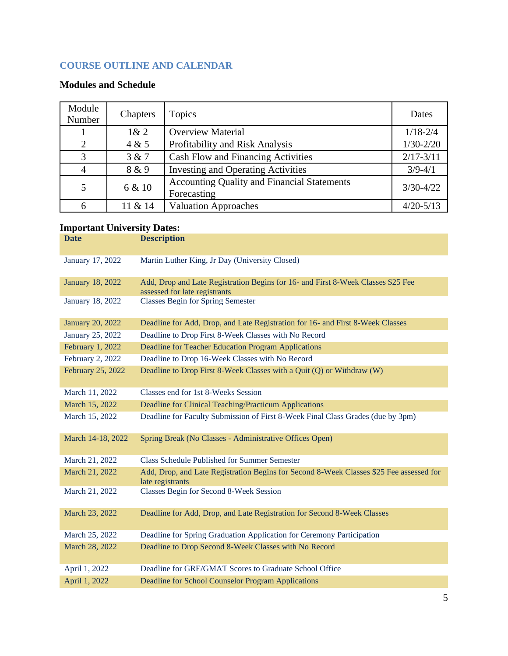# **COURSE OUTLINE AND CALENDAR**

# **Modules and Schedule**

| Module<br>Number | Chapters | Topics                                                            | Dates         |
|------------------|----------|-------------------------------------------------------------------|---------------|
|                  | 1& 2     | <b>Overview Material</b>                                          | $1/18 - 2/4$  |
| $\overline{2}$   | 4 & 5    | Profitability and Risk Analysis                                   | $1/30 - 2/20$ |
| 3                | 3 & 7    | Cash Flow and Financing Activities                                | $2/17 - 3/11$ |
| $\overline{4}$   | 8 & 9    | <b>Investing and Operating Activities</b>                         | $3/9 - 4/1$   |
| $\mathfrak{S}$   | 6 & 10   | <b>Accounting Quality and Financial Statements</b><br>Forecasting | $3/30 - 4/22$ |
| 6                | 11 & 14  | <b>Valuation Approaches</b>                                       | $4/20 - 5/13$ |

# **Important University Dates:**

| <b>Date</b>             | <b>Description</b>                                                                                                |
|-------------------------|-------------------------------------------------------------------------------------------------------------------|
| January 17, 2022        | Martin Luther King, Jr Day (University Closed)                                                                    |
| <b>January 18, 2022</b> | Add, Drop and Late Registration Begins for 16- and First 8-Week Classes \$25 Fee<br>assessed for late registrants |
| January 18, 2022        | <b>Classes Begin for Spring Semester</b>                                                                          |
| <b>January 20, 2022</b> | Deadline for Add, Drop, and Late Registration for 16- and First 8-Week Classes                                    |
| January 25, 2022        | Deadline to Drop First 8-Week Classes with No Record                                                              |
| February 1, 2022        | Deadline for Teacher Education Program Applications                                                               |
| February 2, 2022        | Deadline to Drop 16-Week Classes with No Record                                                                   |
| February 25, 2022       | Deadline to Drop First 8-Week Classes with a Quit (Q) or Withdraw (W)                                             |
| March 11, 2022          | Classes end for 1st 8-Weeks Session                                                                               |
| March 15, 2022          | Deadline for Clinical Teaching/Practicum Applications                                                             |
| March 15, 2022          | Deadline for Faculty Submission of First 8-Week Final Class Grades (due by 3pm)                                   |
| March 14-18, 2022       | Spring Break (No Classes - Administrative Offices Open)                                                           |
| March 21, 2022          | <b>Class Schedule Published for Summer Semester</b>                                                               |
| March 21, 2022          | Add, Drop, and Late Registration Begins for Second 8-Week Classes \$25 Fee assessed for<br>late registrants       |
| March 21, 2022          | Classes Begin for Second 8-Week Session                                                                           |
| March 23, 2022          | Deadline for Add, Drop, and Late Registration for Second 8-Week Classes                                           |
| March 25, 2022          | Deadline for Spring Graduation Application for Ceremony Participation                                             |
| March 28, 2022          | Deadline to Drop Second 8-Week Classes with No Record                                                             |
| April 1, 2022           | Deadline for GRE/GMAT Scores to Graduate School Office                                                            |
| April 1, 2022           | Deadline for School Counselor Program Applications                                                                |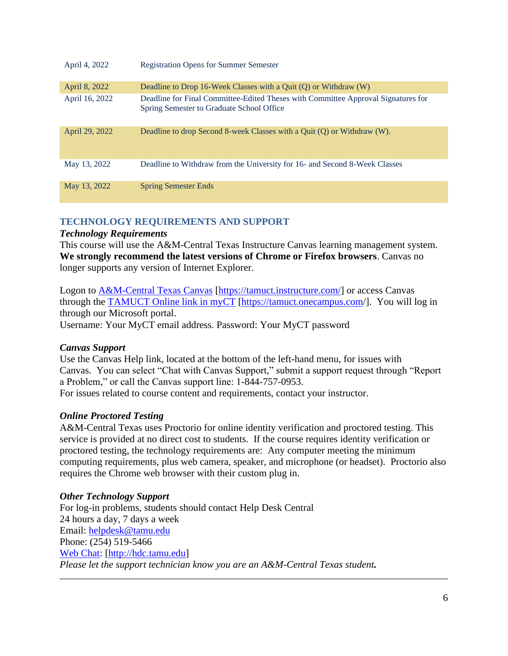| April 4, 2022  | <b>Registration Opens for Summer Semester</b>                                                                                  |
|----------------|--------------------------------------------------------------------------------------------------------------------------------|
| April 8, 2022  | Deadline to Drop 16-Week Classes with a Quit $(Q)$ or Withdraw $(W)$                                                           |
| April 16, 2022 | Deadline for Final Committee-Edited Theses with Committee Approval Signatures for<br>Spring Semester to Graduate School Office |
| April 29, 2022 | Deadline to drop Second 8-week Classes with a Quit $(Q)$ or Withdraw $(W)$ .                                                   |
| May 13, 2022   | Deadline to Withdraw from the University for 16- and Second 8-Week Classes                                                     |
| May 13, 2022   | <b>Spring Semester Ends</b>                                                                                                    |

# **TECHNOLOGY REQUIREMENTS AND SUPPORT**

# *Technology Requirements*

This course will use the A&M-Central Texas Instructure Canvas learning management system. **We strongly recommend the latest versions of Chrome or Firefox browsers**. Canvas no longer supports any version of Internet Explorer.

Logon to [A&M-Central Texas Canvas](https://tamuct.instructure.com/) [\[https://tamuct.instructure.com/\]](https://tamuct.instructure.com/) or access Canvas through the [TAMUCT Online link in myCT](https://tamuct.onecampus.com/) [\[https://tamuct.onecampus.com/](https://tamuct.onecampus.com/)]. You will log in through our Microsoft portal.

Username: Your MyCT email address. Password: Your MyCT password

## *Canvas Support*

Use the Canvas Help link, located at the bottom of the left-hand menu, for issues with Canvas. You can select "Chat with Canvas Support," submit a support request through "Report a Problem," or call the Canvas support line: 1-844-757-0953.

For issues related to course content and requirements, contact your instructor.

## *Online Proctored Testing*

A&M-Central Texas uses Proctorio for online identity verification and proctored testing. This service is provided at no direct cost to students. If the course requires identity verification or proctored testing, the technology requirements are: Any computer meeting the minimum computing requirements, plus web camera, speaker, and microphone (or headset). Proctorio also requires the Chrome web browser with their custom plug in.

# *Other Technology Support*

For log-in problems, students should contact Help Desk Central 24 hours a day, 7 days a week Email: [helpdesk@tamu.edu](mailto:helpdesk@tamu.edu) Phone: (254) 519-5466 [Web Chat:](http://hdc.tamu.edu/) [\[http://hdc.tamu.edu\]](http://hdc.tamu.edu/) *Please let the support technician know you are an A&M-Central Texas student.*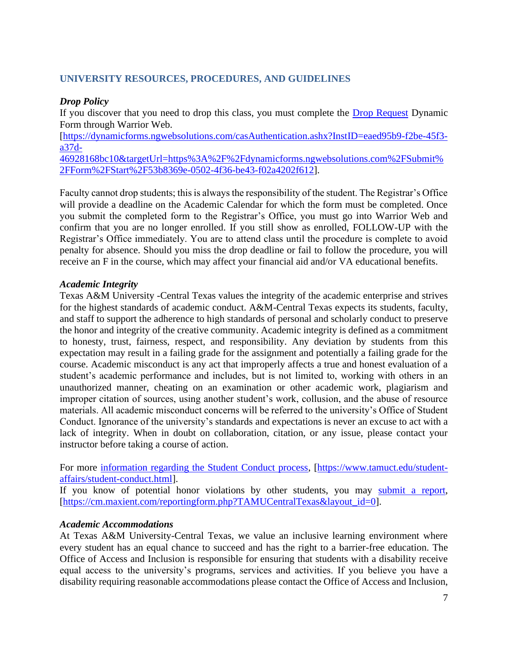### **UNIVERSITY RESOURCES, PROCEDURES, AND GUIDELINES**

#### *Drop Policy*

If you discover that you need to drop this class, you must complete the [Drop Request](https://dynamicforms.ngwebsolutions.com/casAuthentication.ashx?InstID=eaed95b9-f2be-45f3-a37d-46928168bc10&targetUrl=https%3A%2F%2Fdynamicforms.ngwebsolutions.com%2FSubmit%2FForm%2FStart%2F53b8369e-0502-4f36-be43-f02a4202f612) Dynamic Form through Warrior Web.

[\[https://dynamicforms.ngwebsolutions.com/casAuthentication.ashx?InstID=eaed95b9-f2be-45f3](https://dynamicforms.ngwebsolutions.com/casAuthentication.ashx?InstID=eaed95b9-f2be-45f3-a37d-46928168bc10&targetUrl=https%3A%2F%2Fdynamicforms.ngwebsolutions.com%2FSubmit%2FForm%2FStart%2F53b8369e-0502-4f36-be43-f02a4202f612) [a37d-](https://dynamicforms.ngwebsolutions.com/casAuthentication.ashx?InstID=eaed95b9-f2be-45f3-a37d-46928168bc10&targetUrl=https%3A%2F%2Fdynamicforms.ngwebsolutions.com%2FSubmit%2FForm%2FStart%2F53b8369e-0502-4f36-be43-f02a4202f612)

[46928168bc10&targetUrl=https%3A%2F%2Fdynamicforms.ngwebsolutions.com%2FSubmit%](https://dynamicforms.ngwebsolutions.com/casAuthentication.ashx?InstID=eaed95b9-f2be-45f3-a37d-46928168bc10&targetUrl=https%3A%2F%2Fdynamicforms.ngwebsolutions.com%2FSubmit%2FForm%2FStart%2F53b8369e-0502-4f36-be43-f02a4202f612) [2FForm%2FStart%2F53b8369e-0502-4f36-be43-f02a4202f612\]](https://dynamicforms.ngwebsolutions.com/casAuthentication.ashx?InstID=eaed95b9-f2be-45f3-a37d-46928168bc10&targetUrl=https%3A%2F%2Fdynamicforms.ngwebsolutions.com%2FSubmit%2FForm%2FStart%2F53b8369e-0502-4f36-be43-f02a4202f612).

Faculty cannot drop students; this is always the responsibility of the student. The Registrar's Office will provide a deadline on the Academic Calendar for which the form must be completed. Once you submit the completed form to the Registrar's Office, you must go into Warrior Web and confirm that you are no longer enrolled. If you still show as enrolled, FOLLOW-UP with the Registrar's Office immediately. You are to attend class until the procedure is complete to avoid penalty for absence. Should you miss the drop deadline or fail to follow the procedure, you will receive an F in the course, which may affect your financial aid and/or VA educational benefits.

### *Academic Integrity*

Texas A&M University -Central Texas values the integrity of the academic enterprise and strives for the highest standards of academic conduct. A&M-Central Texas expects its students, faculty, and staff to support the adherence to high standards of personal and scholarly conduct to preserve the honor and integrity of the creative community. Academic integrity is defined as a commitment to honesty, trust, fairness, respect, and responsibility. Any deviation by students from this expectation may result in a failing grade for the assignment and potentially a failing grade for the course. Academic misconduct is any act that improperly affects a true and honest evaluation of a student's academic performance and includes, but is not limited to, working with others in an unauthorized manner, cheating on an examination or other academic work, plagiarism and improper citation of sources, using another student's work, collusion, and the abuse of resource materials. All academic misconduct concerns will be referred to the university's Office of Student Conduct. Ignorance of the university's standards and expectations is never an excuse to act with a lack of integrity. When in doubt on collaboration, citation, or any issue, please contact your instructor before taking a course of action.

For more [information regarding the Student Conduct process,](https://www.tamuct.edu/student-affairs/student-conduct.html) [\[https://www.tamuct.edu/student](https://www.tamuct.edu/student-affairs/student-conduct.html)[affairs/student-conduct.html\]](https://www.tamuct.edu/student-affairs/student-conduct.html).

If you know of potential honor violations by other students, you may [submit a report,](https://cm.maxient.com/reportingform.php?TAMUCentralTexas&layout_id=0) [\[https://cm.maxient.com/reportingform.php?TAMUCentralTexas&layout\\_id=0\]](https://cm.maxient.com/reportingform.php?TAMUCentralTexas&layout_id=0).

#### *Academic Accommodations*

At Texas A&M University-Central Texas, we value an inclusive learning environment where every student has an equal chance to succeed and has the right to a barrier-free education. The Office of Access and Inclusion is responsible for ensuring that students with a disability receive equal access to the university's programs, services and activities. If you believe you have a disability requiring reasonable accommodations please contact the Office of Access and Inclusion,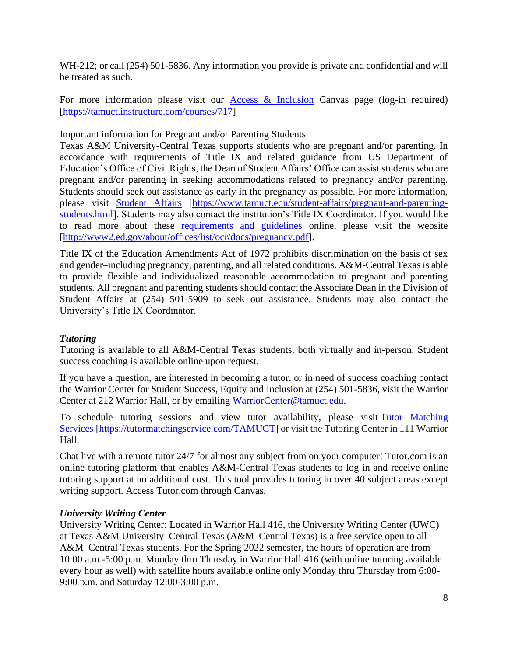WH-212; or call (254) 501-5836. Any information you provide is private and confidential and will be treated as such.

For more information please visit our [Access & Inclusion](https://tamuct.instructure.com/courses/717) Canvas page (log-in required) [\[https://tamuct.instructure.com/courses/717\]](https://tamuct.instructure.com/courses/717)

Important information for Pregnant and/or Parenting Students

Texas A&M University-Central Texas supports students who are pregnant and/or parenting. In accordance with requirements of Title IX and related guidance from US Department of Education's Office of Civil Rights, the Dean of Student Affairs' Office can assist students who are pregnant and/or parenting in seeking accommodations related to pregnancy and/or parenting. Students should seek out assistance as early in the pregnancy as possible. For more information, please visit [Student](https://www.tamuct.edu/student-affairs/pregnant-and-parenting-students.html) Affairs [\[https://www.tamuct.edu/student-affairs/pregnant-and-parenting](https://www.tamuct.edu/student-affairs/pregnant-and-parenting-students.html)[students.html\]](https://www.tamuct.edu/student-affairs/pregnant-and-parenting-students.html). Students may also contact the institution's Title IX Coordinator. If you would like to read more about these [requirements and guidelines](http://www2.ed.gov/about/offices/list/ocr/docs/pregnancy.pdf) online, please visit the website [\[http://www2.ed.gov/about/offices/list/ocr/docs/pregnancy.pdf\]](http://www2.ed.gov/about/offices/list/ocr/docs/pregnancy.pdf).

Title IX of the Education Amendments Act of 1972 prohibits discrimination on the basis of sex and gender–including pregnancy, parenting, and all related conditions. A&M-Central Texas is able to provide flexible and individualized reasonable accommodation to pregnant and parenting students. All pregnant and parenting students should contact the Associate Dean in the Division of Student Affairs at (254) 501-5909 to seek out assistance. Students may also contact the University's Title IX Coordinator.

## *Tutoring*

Tutoring is available to all A&M-Central Texas students, both virtually and in-person. Student success coaching is available online upon request.

If you have a question, are interested in becoming a tutor, or in need of success coaching contact the Warrior Center for Student Success, Equity and Inclusion at (254) 501-5836, visit the Warrior Center at 212 Warrior Hall, or by emailing [WarriorCenter@tamuct.edu.](mailto:WarriorCenter@tamuct.edu)

To schedule tutoring sessions and view tutor availability, please visit Tutor [Matching](https://tutormatchingservice.com/TAMUCT) [Services](https://tutormatchingservice.com/TAMUCT) [\[https://tutormatchingservice.com/TAMUCT\]](https://tutormatchingservice.com/TAMUCT) or visit the Tutoring Center in 111 Warrior Hall.

Chat live with a remote tutor 24/7 for almost any subject from on your computer! Tutor.com is an online tutoring platform that enables A&M-Central Texas students to log in and receive online tutoring support at no additional cost. This tool provides tutoring in over 40 subject areas except writing support. Access Tutor.com through Canvas.

### *University Writing Center*

University Writing Center: Located in Warrior Hall 416, the University Writing Center (UWC) at Texas A&M University–Central Texas (A&M–Central Texas) is a free service open to all A&M–Central Texas students. For the Spring 2022 semester, the hours of operation are from 10:00 a.m.-5:00 p.m. Monday thru Thursday in Warrior Hall 416 (with online tutoring available every hour as well) with satellite hours available online only Monday thru Thursday from 6:00- 9:00 p.m. and Saturday 12:00-3:00 p.m.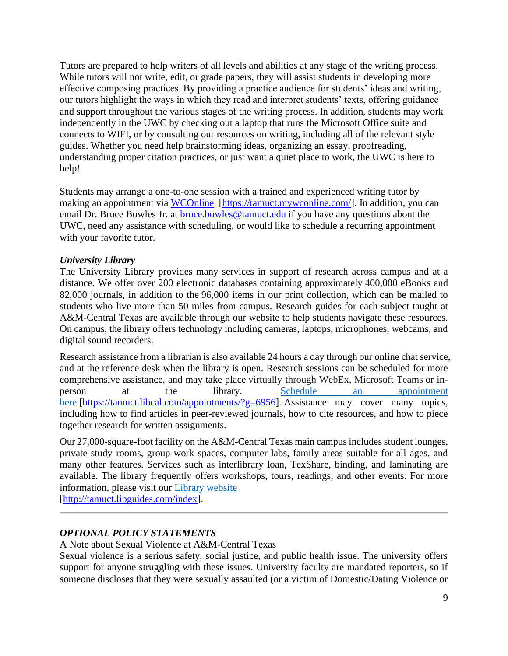Tutors are prepared to help writers of all levels and abilities at any stage of the writing process. While tutors will not write, edit, or grade papers, they will assist students in developing more effective composing practices. By providing a practice audience for students' ideas and writing, our tutors highlight the ways in which they read and interpret students' texts, offering guidance and support throughout the various stages of the writing process. In addition, students may work independently in the UWC by checking out a laptop that runs the Microsoft Office suite and connects to WIFI, or by consulting our resources on writing, including all of the relevant style guides. Whether you need help brainstorming ideas, organizing an essay, proofreading, understanding proper citation practices, or just want a quiet place to work, the UWC is here to help!

Students may arrange a one-to-one session with a trained and experienced writing tutor by making an appointment via [WCOnline \[https://tamuct.mywconline.com/\]](https://tamuct.mywconline.com/). In addition, you can email Dr. Bruce Bowles Jr. at<bruce.bowles@tamuct.edu> if you have any questions about the UWC, need any assistance with scheduling, or would like to schedule a recurring appointment with your favorite tutor.

## *University Library*

The University Library provides many services in support of research across campus and at a distance. We offer over 200 electronic databases containing approximately 400,000 eBooks and 82,000 journals, in addition to the 96,000 items in our print collection, which can be mailed to students who live more than 50 miles from campus. Research guides for each subject taught at A&M-Central Texas are available through our website to help students navigate these resources. On campus, the library offers technology including cameras, laptops, microphones, webcams, and digital sound recorders.

Research assistance from a librarian is also available 24 hours a day through our online chat service, and at the reference desk when the library is open. Research sessions can be scheduled for more comprehensive assistance, and may take place virtually through WebEx, Microsoft Teams or inperson at the library. Schedule an [appointment](https://nam04.safelinks.protection.outlook.com/?url=https%3A%2F%2Ftamuct.libcal.com%2Fappointments%2F%3Fg%3D6956&data=04%7C01%7Clisa.bunkowski%40tamuct.edu%7Cde2c07d9f5804f09518008d9ab7ba6ff%7C9eed4e3000f744849ff193ad8005acec%7C0%7C0%7C637729369835011558%7CUnknown%7CTWFpbGZsb3d8eyJWIjoiMC4wLjAwMDAiLCJQIjoiV2luMzIiLCJBTiI6Ik1haWwiLCJXVCI6Mn0%3D%7C3000&sdata=KhtjgRSAw9aq%2FoBsB6wyu8b7PSuGN5EGPypzr3Ty2No%3D&reserved=0) [here](https://nam04.safelinks.protection.outlook.com/?url=https%3A%2F%2Ftamuct.libcal.com%2Fappointments%2F%3Fg%3D6956&data=04%7C01%7Clisa.bunkowski%40tamuct.edu%7Cde2c07d9f5804f09518008d9ab7ba6ff%7C9eed4e3000f744849ff193ad8005acec%7C0%7C0%7C637729369835011558%7CUnknown%7CTWFpbGZsb3d8eyJWIjoiMC4wLjAwMDAiLCJQIjoiV2luMzIiLCJBTiI6Ik1haWwiLCJXVCI6Mn0%3D%7C3000&sdata=KhtjgRSAw9aq%2FoBsB6wyu8b7PSuGN5EGPypzr3Ty2No%3D&reserved=0) [\[https://tamuct.libcal.com/appointments/?g=6956\]](https://tamuct.libcal.com/appointments/?g=6956). Assistance may cover many topics, including how to find articles in peer-reviewed journals, how to cite resources, and how to piece together research for written assignments.

Our  $27,000$ -square-foot facility on the A&M-Central Texas main campus includes student lounges, private study rooms, group work spaces, computer labs, family areas suitable for all ages, and many other features. Services such as interlibrary loan, TexShare, binding, and laminating are available. The library frequently offers workshops, tours, readings, and other events. For more information, please visit our Library [website](https://nam04.safelinks.protection.outlook.com/?url=https%3A%2F%2Ftamuct.libguides.com%2Findex&data=04%7C01%7Clisa.bunkowski%40tamuct.edu%7C7d8489e8839a4915335f08d916f067f2%7C9eed4e3000f744849ff193ad8005acec%7C0%7C0%7C637566044056484222%7CUnknown%7CTWFpbGZsb3d8eyJWIjoiMC4wLjAwMDAiLCJQIjoiV2luMzIiLCJBTiI6Ik1haWwiLCJXVCI6Mn0%3D%7C1000&sdata=2R755V6rcIyedGrd4Os5rkgn1PvhHKU3kUV1vBKiHFo%3D&reserved=0)

[\[http://tamuct.libguides.com/index\]](http://tamuct.libguides.com/index).

## *OPTIONAL POLICY STATEMENTS*

A Note about Sexual Violence at A&M-Central Texas

Sexual violence is a serious safety, social justice, and public health issue. The university offers support for anyone struggling with these issues. University faculty are mandated reporters, so if someone discloses that they were sexually assaulted (or a victim of Domestic/Dating Violence or